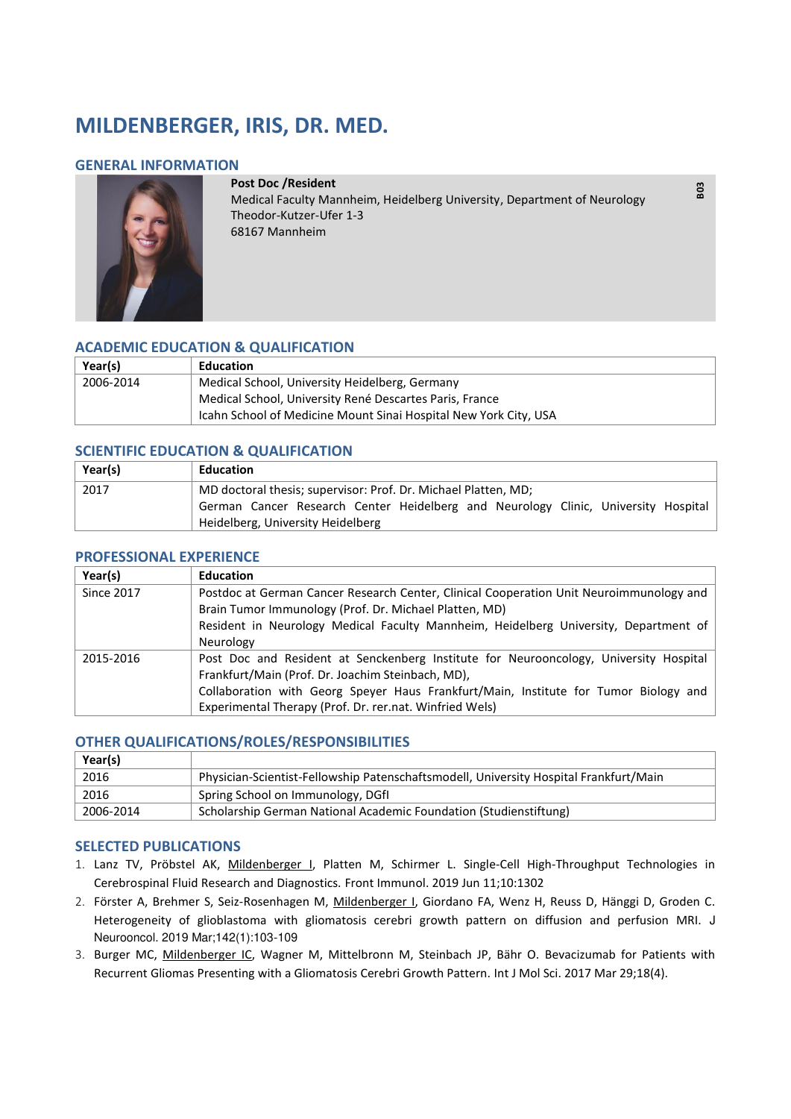# **MILDENBERGER, IRIS, DR. MED.**

## **GENERAL INFORMATION**



**Post Doc /Resident**  Medical Faculty Mannheim, Heidelberg University, Department of Neurology Theodor-Kutzer-Ufer 1-3 68167 Mannheim

**B03** 

## **ACADEMIC EDUCATION & QUALIFICATION**

| Year(s)   | Education                                                        |
|-----------|------------------------------------------------------------------|
| 2006-2014 | Medical School, University Heidelberg, Germany                   |
|           | Medical School, University René Descartes Paris, France          |
|           | Icahn School of Medicine Mount Sinai Hospital New York City, USA |

## **SCIENTIFIC EDUCATION & QUALIFICATION**

| Year(s) | <b>Education</b>                                                                                                                                                                          |
|---------|-------------------------------------------------------------------------------------------------------------------------------------------------------------------------------------------|
| 2017    | MD doctoral thesis; supervisor: Prof. Dr. Michael Platten, MD;<br>German Cancer Research Center Heidelberg and Neurology Clinic, University Hospital<br>Heidelberg, University Heidelberg |

#### **PROFESSIONAL EXPERIENCE**

| Year(s)           | <b>Education</b>                                                                                                                           |
|-------------------|--------------------------------------------------------------------------------------------------------------------------------------------|
| <b>Since 2017</b> | Postdoc at German Cancer Research Center, Clinical Cooperation Unit Neuroimmunology and                                                    |
|                   | Brain Tumor Immunology (Prof. Dr. Michael Platten, MD)                                                                                     |
|                   | Resident in Neurology Medical Faculty Mannheim, Heidelberg University, Department of                                                       |
|                   | Neurology                                                                                                                                  |
| 2015-2016         | Post Doc and Resident at Senckenberg Institute for Neurooncology, University Hospital<br>Frankfurt/Main (Prof. Dr. Joachim Steinbach, MD), |
|                   | Collaboration with Georg Speyer Haus Frankfurt/Main, Institute for Tumor Biology and                                                       |
|                   | Experimental Therapy (Prof. Dr. rer.nat. Winfried Wels)                                                                                    |

#### **OTHER QUALIFICATIONS/ROLES/RESPONSIBILITIES**

| Year(s)   |                                                                                       |
|-----------|---------------------------------------------------------------------------------------|
| 2016      | Physician-Scientist-Fellowship Patenschaftsmodell, University Hospital Frankfurt/Main |
| 2016      | Spring School on Immunology, DGfI                                                     |
| 2006-2014 | Scholarship German National Academic Foundation (Studienstiftung)                     |

#### **SELECTED PUBLICATIONS**

- 1. Lanz TV, Pröbstel AK, Mildenberger I, Platten M, Schirmer L. [Single-Cell High-Throughput Technologies in](https://www.ncbi.nlm.nih.gov/pubmed/31244848)  [Cerebrospinal Fluid Research and Diagnostics.](https://www.ncbi.nlm.nih.gov/pubmed/31244848) Front Immunol. 2019 Jun 11;10:1302
- 2. Förster A, Brehmer S, Seiz-Rosenhagen M, Mildenberger I, Giordano FA, Wenz H, Reuss D, Hänggi D, Groden C. [Heterogeneity of glioblastoma with gliomatosis cerebri growth pattern on diffusion and perfusion MRI.](https://www.ncbi.nlm.nih.gov/pubmed/30565029) J Neurooncol. 2019 Mar;142(1):103-109
- 3. Burger MC, Mildenberger IC, Wagner M, Mittelbronn M, Steinbach JP, Bähr O. [Bevacizumab for Patients with](https://www.ncbi.nlm.nih.gov/pubmed/28353668)  [Recurrent Gliomas Presenting with a Gliomatosis Cerebri Growth Pattern. I](https://www.ncbi.nlm.nih.gov/pubmed/28353668)nt J Mol Sci. 2017 Mar 29;18(4).